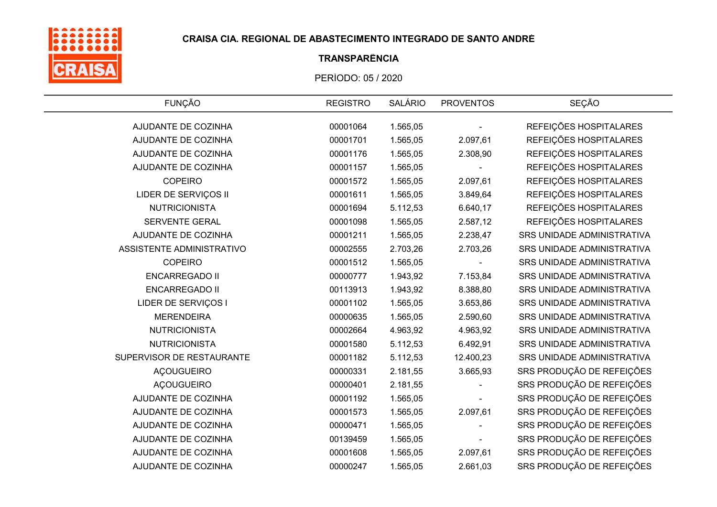

# TRANSPARÊNCIA

| <b>FUNÇÃO</b>             | <b>REGISTRO</b> | <b>SALÁRIO</b> | <b>PROVENTOS</b> | <b>SEÇÃO</b>                      |
|---------------------------|-----------------|----------------|------------------|-----------------------------------|
| AJUDANTE DE COZINHA       | 00001064        | 1.565,05       |                  | REFEIÇÕES HOSPITALARES            |
| AJUDANTE DE COZINHA       | 00001701        | 1.565,05       | 2.097,61         | REFEIÇÕES HOSPITALARES            |
| AJUDANTE DE COZINHA       | 00001176        | 1.565,05       | 2.308,90         | REFEIÇÕES HOSPITALARES            |
| AJUDANTE DE COZINHA       | 00001157        | 1.565,05       |                  | REFEIÇÕES HOSPITALARES            |
| <b>COPEIRO</b>            |                 |                |                  |                                   |
|                           | 00001572        | 1.565,05       | 2.097,61         | REFEIÇÕES HOSPITALARES            |
| LIDER DE SERVIÇOS II      | 00001611        | 1.565,05       | 3.849,64         | REFEIÇÕES HOSPITALARES            |
| <b>NUTRICIONISTA</b>      | 00001694        | 5.112,53       | 6.640,17         | REFEIÇÕES HOSPITALARES            |
| SERVENTE GERAL            | 00001098        | 1.565,05       | 2.587,12         | REFEIÇÕES HOSPITALARES            |
| AJUDANTE DE COZINHA       | 00001211        | 1.565,05       | 2.238,47         | <b>SRS UNIDADE ADMINISTRATIVA</b> |
| ASSISTENTE ADMINISTRATIVO | 00002555        | 2.703,26       | 2.703,26         | SRS UNIDADE ADMINISTRATIVA        |
| <b>COPEIRO</b>            | 00001512        | 1.565,05       |                  | SRS UNIDADE ADMINISTRATIVA        |
| <b>ENCARREGADO II</b>     | 00000777        | 1.943,92       | 7.153,84         | SRS UNIDADE ADMINISTRATIVA        |
| <b>ENCARREGADO II</b>     | 00113913        | 1.943,92       | 8.388,80         | SRS UNIDADE ADMINISTRATIVA        |
| LIDER DE SERVIÇOS I       | 00001102        | 1.565,05       | 3.653,86         | SRS UNIDADE ADMINISTRATIVA        |
| <b>MERENDEIRA</b>         | 00000635        | 1.565,05       | 2.590,60         | SRS UNIDADE ADMINISTRATIVA        |
| <b>NUTRICIONISTA</b>      | 00002664        | 4.963,92       | 4.963,92         | SRS UNIDADE ADMINISTRATIVA        |
| <b>NUTRICIONISTA</b>      | 00001580        | 5.112,53       | 6.492,91         | SRS UNIDADE ADMINISTRATIVA        |
| SUPERVISOR DE RESTAURANTE | 00001182        | 5.112,53       | 12.400,23        | SRS UNIDADE ADMINISTRATIVA        |
| <b>AÇOUGUEIRO</b>         | 00000331        | 2.181,55       | 3.665,93         | SRS PRODUÇÃO DE REFEIÇÕES         |
| <b>AÇOUGUEIRO</b>         | 00000401        | 2.181,55       |                  | SRS PRODUÇÃO DE REFEIÇÕES         |
| AJUDANTE DE COZINHA       | 00001192        | 1.565,05       |                  | SRS PRODUÇÃO DE REFEIÇÕES         |
| AJUDANTE DE COZINHA       | 00001573        | 1.565,05       | 2.097,61         | SRS PRODUÇÃO DE REFEIÇÕES         |
| AJUDANTE DE COZINHA       | 00000471        | 1.565,05       |                  | SRS PRODUÇÃO DE REFEIÇÕES         |
| AJUDANTE DE COZINHA       | 00139459        | 1.565,05       |                  | SRS PRODUÇÃO DE REFEIÇÕES         |
| AJUDANTE DE COZINHA       | 00001608        | 1.565,05       | 2.097,61         | SRS PRODUÇÃO DE REFEIÇÕES         |
| AJUDANTE DE COZINHA       | 00000247        | 1.565,05       | 2.661,03         | SRS PRODUÇÃO DE REFEIÇÕES         |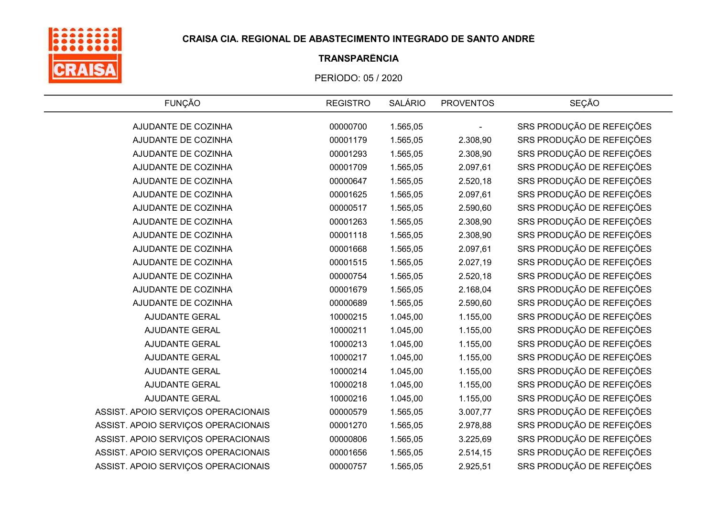

# TRANSPARÊNCIA

| <b>FUNÇÃO</b>                       | <b>REGISTRO</b> | <b>SALÁRIO</b> | <b>PROVENTOS</b> | <b>SEÇÃO</b>              |
|-------------------------------------|-----------------|----------------|------------------|---------------------------|
| AJUDANTE DE COZINHA                 | 00000700        | 1.565,05       |                  | SRS PRODUÇÃO DE REFEIÇÕES |
| AJUDANTE DE COZINHA                 | 00001179        | 1.565,05       | 2.308,90         | SRS PRODUÇÃO DE REFEIÇÕES |
| AJUDANTE DE COZINHA                 | 00001293        | 1.565,05       | 2.308,90         | SRS PRODUÇÃO DE REFEIÇÕES |
| AJUDANTE DE COZINHA                 | 00001709        | 1.565,05       | 2.097,61         | SRS PRODUÇÃO DE REFEIÇÕES |
| AJUDANTE DE COZINHA                 | 00000647        | 1.565,05       | 2.520,18         | SRS PRODUÇÃO DE REFEIÇÕES |
| AJUDANTE DE COZINHA                 | 00001625        | 1.565,05       | 2.097,61         | SRS PRODUÇÃO DE REFEIÇÕES |
| AJUDANTE DE COZINHA                 | 00000517        | 1.565,05       | 2.590,60         | SRS PRODUÇÃO DE REFEIÇÕES |
| AJUDANTE DE COZINHA                 | 00001263        | 1.565,05       | 2.308,90         | SRS PRODUÇÃO DE REFEIÇÕES |
| AJUDANTE DE COZINHA                 | 00001118        | 1.565,05       | 2.308,90         | SRS PRODUÇÃO DE REFEIÇÕES |
| AJUDANTE DE COZINHA                 | 00001668        | 1.565,05       | 2.097,61         | SRS PRODUÇÃO DE REFEIÇÕES |
| AJUDANTE DE COZINHA                 | 00001515        | 1.565,05       | 2.027,19         | SRS PRODUÇÃO DE REFEIÇÕES |
| AJUDANTE DE COZINHA                 | 00000754        | 1.565,05       | 2.520,18         | SRS PRODUÇÃO DE REFEIÇÕES |
| AJUDANTE DE COZINHA                 | 00001679        | 1.565,05       | 2.168,04         | SRS PRODUÇÃO DE REFEIÇÕES |
| AJUDANTE DE COZINHA                 | 00000689        | 1.565,05       | 2.590,60         | SRS PRODUÇÃO DE REFEIÇÕES |
| AJUDANTE GERAL                      | 10000215        | 1.045,00       | 1.155,00         | SRS PRODUÇÃO DE REFEIÇÕES |
| AJUDANTE GERAL                      | 10000211        | 1.045,00       | 1.155,00         | SRS PRODUÇÃO DE REFEIÇÕES |
| AJUDANTE GERAL                      | 10000213        | 1.045,00       | 1.155,00         | SRS PRODUÇÃO DE REFEIÇÕES |
| AJUDANTE GERAL                      | 10000217        | 1.045,00       | 1.155,00         | SRS PRODUÇÃO DE REFEIÇÕES |
| <b>AJUDANTE GERAL</b>               | 10000214        | 1.045,00       | 1.155,00         | SRS PRODUÇÃO DE REFEIÇÕES |
| AJUDANTE GERAL                      | 10000218        | 1.045,00       | 1.155,00         | SRS PRODUÇÃO DE REFEIÇÕES |
| AJUDANTE GERAL                      | 10000216        | 1.045,00       | 1.155,00         | SRS PRODUÇÃO DE REFEIÇÕES |
| ASSIST. APOIO SERVIÇOS OPERACIONAIS | 00000579        | 1.565,05       | 3.007,77         | SRS PRODUÇÃO DE REFEIÇÕES |
| ASSIST. APOIO SERVIÇOS OPERACIONAIS | 00001270        | 1.565,05       | 2.978,88         | SRS PRODUÇÃO DE REFEIÇÕES |
| ASSIST. APOIO SERVIÇOS OPERACIONAIS | 00000806        | 1.565,05       | 3.225,69         | SRS PRODUÇÃO DE REFEIÇÕES |
| ASSIST. APOIO SERVIÇOS OPERACIONAIS | 00001656        | 1.565,05       | 2.514,15         | SRS PRODUÇÃO DE REFEIÇÕES |
| ASSIST. APOIO SERVIÇOS OPERACIONAIS | 00000757        | 1.565,05       | 2.925,51         | SRS PRODUÇÃO DE REFEIÇÕES |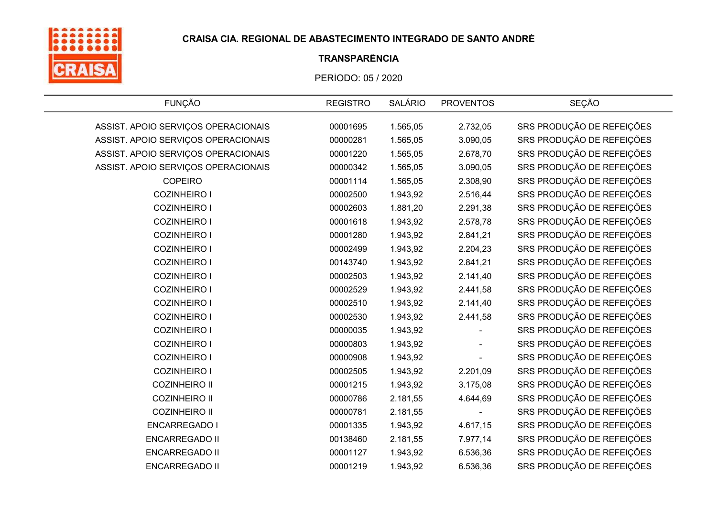

# TRANSPARÊNCIA

| <b>FUNÇÃO</b>                       | <b>REGISTRO</b> | <b>SALÁRIO</b> | <b>PROVENTOS</b> | SEÇÃO                     |
|-------------------------------------|-----------------|----------------|------------------|---------------------------|
| ASSIST. APOIO SERVIÇOS OPERACIONAIS | 00001695        | 1.565,05       | 2.732,05         | SRS PRODUÇÃO DE REFEIÇÕES |
| ASSIST. APOIO SERVIÇOS OPERACIONAIS | 00000281        | 1.565,05       | 3.090,05         | SRS PRODUÇÃO DE REFEIÇÕES |
| ASSIST. APOIO SERVIÇOS OPERACIONAIS | 00001220        | 1.565,05       | 2.678,70         | SRS PRODUÇÃO DE REFEIÇÕES |
| ASSIST. APOIO SERVIÇOS OPERACIONAIS | 00000342        | 1.565,05       | 3.090,05         | SRS PRODUÇÃO DE REFEIÇÕES |
| <b>COPEIRO</b>                      | 00001114        | 1.565,05       | 2.308,90         | SRS PRODUÇÃO DE REFEIÇÕES |
| <b>COZINHEIRO I</b>                 | 00002500        | 1.943,92       | 2.516,44         | SRS PRODUÇÃO DE REFEIÇÕES |
| <b>COZINHEIRO I</b>                 | 00002603        | 1.881,20       | 2.291,38         | SRS PRODUÇÃO DE REFEIÇÕES |
| <b>COZINHEIRO I</b>                 | 00001618        | 1.943,92       | 2.578,78         | SRS PRODUÇÃO DE REFEIÇÕES |
| <b>COZINHEIRO I</b>                 | 00001280        | 1.943,92       | 2.841,21         | SRS PRODUÇÃO DE REFEIÇÕES |
| <b>COZINHEIRO I</b>                 | 00002499        | 1.943,92       | 2.204,23         | SRS PRODUÇÃO DE REFEIÇÕES |
| <b>COZINHEIRO I</b>                 | 00143740        | 1.943,92       | 2.841,21         | SRS PRODUÇÃO DE REFEIÇÕES |
| <b>COZINHEIRO I</b>                 | 00002503        | 1.943,92       | 2.141,40         | SRS PRODUÇÃO DE REFEIÇÕES |
| <b>COZINHEIRO I</b>                 | 00002529        | 1.943,92       | 2.441,58         | SRS PRODUÇÃO DE REFEIÇÕES |
| <b>COZINHEIRO I</b>                 | 00002510        | 1.943,92       | 2.141,40         | SRS PRODUÇÃO DE REFEIÇÕES |
| <b>COZINHEIRO I</b>                 | 00002530        | 1.943,92       | 2.441,58         | SRS PRODUÇÃO DE REFEIÇÕES |
| <b>COZINHEIRO I</b>                 | 00000035        | 1.943,92       |                  | SRS PRODUÇÃO DE REFEIÇÕES |
| <b>COZINHEIRO I</b>                 | 00000803        | 1.943,92       |                  | SRS PRODUÇÃO DE REFEIÇÕES |
| <b>COZINHEIRO I</b>                 | 00000908        | 1.943,92       |                  | SRS PRODUÇÃO DE REFEIÇÕES |
| <b>COZINHEIRO I</b>                 | 00002505        | 1.943,92       | 2.201,09         | SRS PRODUÇÃO DE REFEIÇÕES |
| <b>COZINHEIRO II</b>                | 00001215        | 1.943,92       | 3.175,08         | SRS PRODUÇÃO DE REFEIÇÕES |
| <b>COZINHEIRO II</b>                | 00000786        | 2.181,55       | 4.644,69         | SRS PRODUÇÃO DE REFEIÇÕES |
| <b>COZINHEIRO II</b>                | 00000781        | 2.181,55       |                  | SRS PRODUÇÃO DE REFEIÇÕES |
| <b>ENCARREGADO I</b>                | 00001335        | 1.943,92       | 4.617,15         | SRS PRODUÇÃO DE REFEIÇÕES |
| <b>ENCARREGADO II</b>               | 00138460        | 2.181,55       | 7.977,14         | SRS PRODUÇÃO DE REFEIÇÕES |
| <b>ENCARREGADO II</b>               | 00001127        | 1.943,92       | 6.536,36         | SRS PRODUÇÃO DE REFEIÇÕES |
| <b>ENCARREGADO II</b>               | 00001219        | 1.943,92       | 6.536,36         | SRS PRODUÇÃO DE REFEIÇÕES |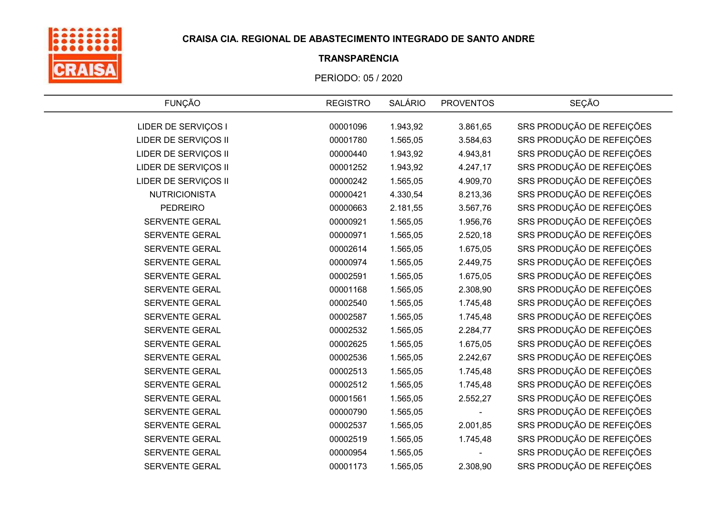

# TRANSPARÊNCIA

| <b>FUNÇÃO</b>         | <b>REGISTRO</b> | <b>SALÁRIO</b> | <b>PROVENTOS</b> | <b>SEÇÃO</b>              |
|-----------------------|-----------------|----------------|------------------|---------------------------|
| LIDER DE SERVIÇOS I   | 00001096        | 1.943,92       | 3.861,65         | SRS PRODUÇÃO DE REFEIÇÕES |
| LIDER DE SERVIÇOS II  | 00001780        | 1.565,05       | 3.584,63         | SRS PRODUÇÃO DE REFEIÇÕES |
| LIDER DE SERVIÇOS II  | 00000440        | 1.943,92       | 4.943,81         | SRS PRODUÇÃO DE REFEIÇÕES |
| LIDER DE SERVIÇOS II  | 00001252        | 1.943,92       | 4.247,17         | SRS PRODUÇÃO DE REFEIÇÕES |
| LIDER DE SERVIÇOS II  | 00000242        | 1.565,05       | 4.909,70         | SRS PRODUÇÃO DE REFEIÇÕES |
| <b>NUTRICIONISTA</b>  | 00000421        | 4.330,54       | 8.213,36         | SRS PRODUÇÃO DE REFEIÇÕES |
| <b>PEDREIRO</b>       | 00000663        | 2.181,55       | 3.567,76         | SRS PRODUÇÃO DE REFEIÇÕES |
| <b>SERVENTE GERAL</b> | 00000921        | 1.565,05       | 1.956,76         | SRS PRODUÇÃO DE REFEIÇÕES |
| SERVENTE GERAL        | 00000971        | 1.565,05       | 2.520,18         | SRS PRODUÇÃO DE REFEIÇÕES |
| SERVENTE GERAL        | 00002614        | 1.565,05       | 1.675,05         | SRS PRODUÇÃO DE REFEIÇÕES |
| SERVENTE GERAL        | 00000974        | 1.565,05       | 2.449,75         | SRS PRODUÇÃO DE REFEIÇÕES |
| SERVENTE GERAL        | 00002591        | 1.565,05       | 1.675,05         | SRS PRODUÇÃO DE REFEIÇÕES |
| SERVENTE GERAL        | 00001168        | 1.565,05       | 2.308,90         | SRS PRODUÇÃO DE REFEIÇÕES |
| <b>SERVENTE GERAL</b> | 00002540        | 1.565,05       | 1.745,48         | SRS PRODUÇÃO DE REFEIÇÕES |
| SERVENTE GERAL        | 00002587        | 1.565,05       | 1.745,48         | SRS PRODUÇÃO DE REFEIÇÕES |
| <b>SERVENTE GERAL</b> | 00002532        | 1.565,05       | 2.284,77         | SRS PRODUÇÃO DE REFEIÇÕES |
| SERVENTE GERAL        | 00002625        | 1.565,05       | 1.675,05         | SRS PRODUÇÃO DE REFEIÇÕES |
| <b>SERVENTE GERAL</b> | 00002536        | 1.565,05       | 2.242,67         | SRS PRODUÇÃO DE REFEIÇÕES |
| <b>SERVENTE GERAL</b> | 00002513        | 1.565,05       | 1.745,48         | SRS PRODUÇÃO DE REFEIÇÕES |
| SERVENTE GERAL        | 00002512        | 1.565,05       | 1.745,48         | SRS PRODUÇÃO DE REFEIÇÕES |
| SERVENTE GERAL        | 00001561        | 1.565,05       | 2.552,27         | SRS PRODUÇÃO DE REFEIÇÕES |
| SERVENTE GERAL        | 00000790        | 1.565,05       |                  | SRS PRODUÇÃO DE REFEIÇÕES |
| <b>SERVENTE GERAL</b> | 00002537        | 1.565,05       | 2.001,85         | SRS PRODUÇÃO DE REFEIÇÕES |
| SERVENTE GERAL        | 00002519        | 1.565,05       | 1.745,48         | SRS PRODUÇÃO DE REFEIÇÕES |
| <b>SERVENTE GERAL</b> | 00000954        | 1.565,05       |                  | SRS PRODUÇÃO DE REFEIÇÕES |
| <b>SERVENTE GERAL</b> | 00001173        | 1.565,05       | 2.308,90         | SRS PRODUÇÃO DE REFEIÇÕES |